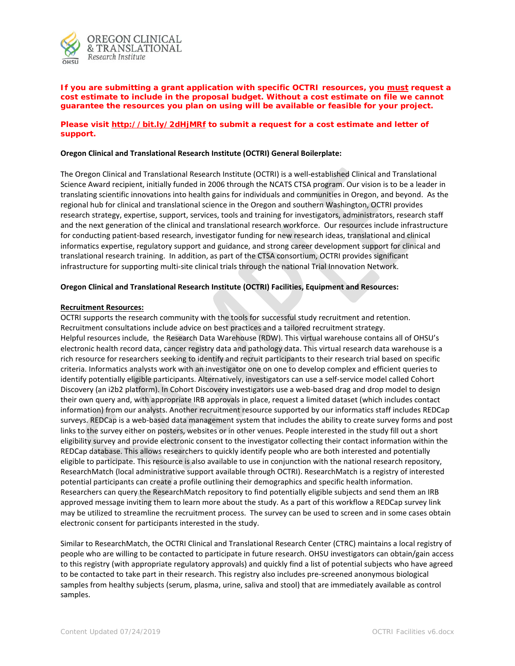

**If you are submitting a grant application with specific OCTRI resources, you must request a cost estimate to include in the proposal budget. Without a cost estimate on file we cannot guarantee the resources you plan on using will be available or feasible for your project.** 

### **Please visit<http://bit.ly/2dHjMRf> to submit a request for a cost estimate and letter of support.**

### **Oregon Clinical and Translational Research Institute (OCTRI) General Boilerplate:**

The Oregon Clinical and Translational Research Institute (OCTRI) is a well-established Clinical and Translational Science Award recipient, initially funded in 2006 through the NCATS CTSA program. Our vision is to be a leader in translating scientific innovations into health gains for individuals and communities in Oregon, and beyond. As the regional hub for clinical and translational science in the Oregon and southern Washington, OCTRI provides research strategy, expertise, support, services, tools and training for investigators, administrators, research staff and the next generation of the clinical and translational research workforce. Our resources include infrastructure for conducting patient-based research, investigator funding for new research ideas, translational and clinical informatics expertise, regulatory support and guidance, and strong career development support for clinical and translational research training. In addition, as part of the CTSA consortium, OCTRI provides significant infrastructure for supporting multi-site clinical trials through the national Trial Innovation Network.

## **Oregon Clinical and Translational Research Institute (OCTRI) Facilities, Equipment and Resources:**

### **Recruitment Resources:**

OCTRI supports the research community with the tools for successful study recruitment and retention. Recruitment consultations include advice on best practices and a tailored recruitment strategy. Helpful resources include, the Research Data Warehouse (RDW). This virtual warehouse contains all of OHSU's electronic health record data, cancer registry data and pathology data. This virtual research data warehouse is a rich resource for researchers seeking to identify and recruit participants to their research trial based on specific criteria. Informatics analysts work with an investigator one on one to develop complex and efficient queries to identify potentially eligible participants. Alternatively, investigators can use a self-service model called Cohort Discovery (an i2b2 platform). In Cohort Discovery investigators use a web-based drag and drop model to design their own query and, with appropriate IRB approvals in place, request a limited dataset (which includes contact information) from our analysts. Another recruitment resource supported by our informatics staff includes REDCap surveys. REDCap is a web-based data management system that includes the ability to create survey forms and post links to the survey either on posters, websites or in other venues. People interested in the study fill out a short eligibility survey and provide electronic consent to the investigator collecting their contact information within the REDCap database. This allows researchers to quickly identify people who are both interested and potentially eligible to participate. This resource is also available to use in conjunction with the national research repository, ResearchMatch (local administrative support available through OCTRI). ResearchMatch is a registry of interested potential participants can create a profile outlining their demographics and specific health information. Researchers can query the ResearchMatch repository to find potentially eligible subjects and send them an IRB approved message inviting them to learn more about the study. As a part of this workflow a REDCap survey link may be utilized to streamline the recruitment process. The survey can be used to screen and in some cases obtain electronic consent for participants interested in the study.

Similar to ResearchMatch, the OCTRI Clinical and Translational Research Center (CTRC) maintains a local registry of people who are willing to be contacted to participate in future research. OHSU investigators can obtain/gain access to this registry (with appropriate regulatory approvals) and quickly find a list of potential subjects who have agreed to be contacted to take part in their research. This registry also includes pre-screened anonymous biological samples from healthy subjects (serum, plasma, urine, saliva and stool) that are immediately available as control samples.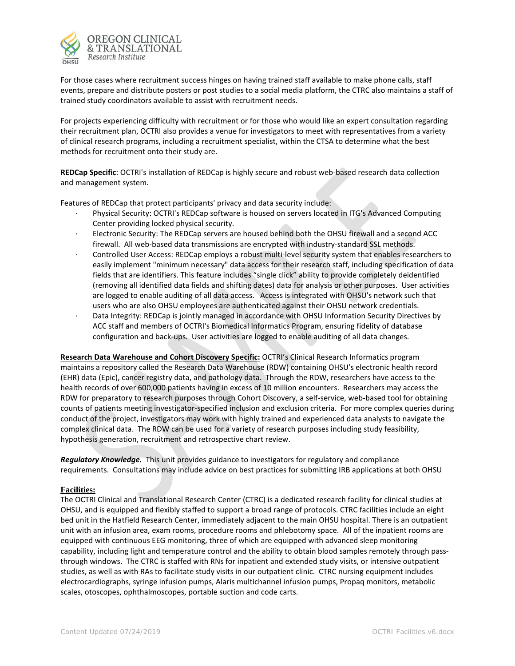

For those cases where recruitment success hinges on having trained staff available to make phone calls, staff events, prepare and distribute posters or post studies to a social media platform, the CTRC also maintains a staff of trained study coordinators available to assist with recruitment needs.

For projects experiencing difficulty with recruitment or for those who would like an expert consultation regarding their recruitment plan, OCTRI also provides a venue for investigators to meet with representatives from a variety of clinical research programs, including a recruitment specialist, within the CTSA to determine what the best methods for recruitment onto their study are.

**REDCap Specific**: OCTRI's installation of REDCap is highly secure and robust web-based research data collection and management system.

Features of REDCap that protect participants' privacy and data security include:

- · Physical Security: OCTRI's REDCap software is housed on servers located in ITG's Advanced Computing Center providing locked physical security.
- Electronic Security: The REDCap servers are housed behind both the OHSU firewall and a second ACC firewall. All web-based data transmissions are encrypted with industry-standard SSL methods.
- · Controlled User Access: REDCap employs a robust multi-level security system that enables researchers to easily implement "minimum necessary" data access for their research staff, including specification of data fields that are identifiers. This feature includes "single click" ability to provide completely deidentified (removing all identified data fields and shifting dates) data for analysis or other purposes. User activities are logged to enable auditing of all data access. Access is integrated with OHSU's network such that users who are also OHSU employees are authenticated against their OHSU network credentials.
- Data Integrity: REDCap is jointly managed in accordance with OHSU Information Security Directives by ACC staff and members of OCTRI's Biomedical Informatics Program, ensuring fidelity of database configuration and back-ups. User activities are logged to enable auditing of all data changes.

**Research Data Warehouse and Cohort Discovery Specific:** OCTRI's Clinical Research Informatics program maintains a repository called the Research Data Warehouse (RDW) containing OHSU's electronic health record (EHR) data (Epic), cancer registry data, and pathology data. Through the RDW, researchers have access to the health records of over 600,000 patients having in excess of 10 million encounters. Researchers may access the RDW for preparatory to research purposes through Cohort Discovery, a self-service, web-based tool for obtaining counts of patients meeting investigator-specified inclusion and exclusion criteria. For more complex queries during conduct of the project, investigators may work with highly trained and experienced data analysts to navigate the complex clinical data. The RDW can be used for a variety of research purposes including study feasibility, hypothesis generation, recruitment and retrospective chart review.

*Regulatory Knowledge.* This unit provides guidance to investigators for regulatory and compliance requirements. Consultations may include advice on best practices for submitting IRB applications at both OHSU

# **Facilities:**

The OCTRI Clinical and Translational Research Center (CTRC) is a dedicated research facility for clinical studies at OHSU, and is equipped and flexibly staffed to support a broad range of protocols. CTRC facilities include an eight bed unit in the Hatfield Research Center, immediately adjacent to the main OHSU hospital. There is an outpatient unit with an infusion area, exam rooms, procedure rooms and phlebotomy space. All of the inpatient rooms are equipped with continuous EEG monitoring, three of which are equipped with advanced sleep monitoring capability, including light and temperature control and the ability to obtain blood samples remotely through passthrough windows. The CTRC is staffed with RNs for inpatient and extended study visits, or intensive outpatient studies, as well as with RAs to facilitate study visits in our outpatient clinic. CTRC nursing equipment includes electrocardiographs, syringe infusion pumps, Alaris multichannel infusion pumps, Propaq monitors, metabolic scales, otoscopes, ophthalmoscopes, portable suction and code carts.